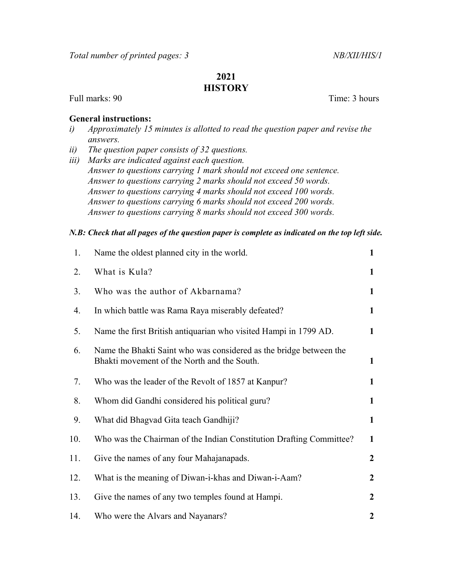## 2021 **HISTORY**

Full marks: 90 Time: 3 hours

## General instructions:

- i) Approximately 15 minutes is allotted to read the question paper and revise the answers.
- ii) The question paper consists of 32 questions.
- iii) Marks are indicated against each question. Answer to questions carrying 1 mark should not exceed one sentence. Answer to questions carrying 2 marks should not exceed 50 words. Answer to questions carrying 4 marks should not exceed 100 words. Answer to questions carrying 6 marks should not exceed 200 words. Answer to questions carrying 8 marks should not exceed 300 words.

## N.B: Check that all pages of the question paper is complete as indicated on the top left side.

| 1.  | Name the oldest planned city in the world.                                                                        | $\mathbf{1}$     |
|-----|-------------------------------------------------------------------------------------------------------------------|------------------|
| 2.  | What is Kula?                                                                                                     | $\mathbf{1}$     |
| 3.  | Who was the author of Akbarnama?                                                                                  | $\mathbf{1}$     |
| 4.  | In which battle was Rama Raya miserably defeated?                                                                 | $\mathbf{1}$     |
| 5.  | Name the first British antiquarian who visited Hampi in 1799 AD.                                                  | $\mathbf{1}$     |
| 6.  | Name the Bhakti Saint who was considered as the bridge between the<br>Bhakti movement of the North and the South. | 1                |
| 7.  | Who was the leader of the Revolt of 1857 at Kanpur?                                                               | $\mathbf{1}$     |
| 8.  | Whom did Gandhi considered his political guru?                                                                    | $\mathbf{1}$     |
| 9.  | What did Bhagvad Gita teach Gandhiji?                                                                             | $\mathbf{1}$     |
| 10. | Who was the Chairman of the Indian Constitution Drafting Committee?                                               | $\mathbf{1}$     |
| 11. | Give the names of any four Mahajanapads.                                                                          | $\overline{2}$   |
| 12. | What is the meaning of Diwan-i-khas and Diwan-i-Aam?                                                              | $\boldsymbol{2}$ |
| 13. | Give the names of any two temples found at Hampi.                                                                 | $\mathbf{2}$     |
| 14. | Who were the Alvars and Nayanars?                                                                                 | $\boldsymbol{2}$ |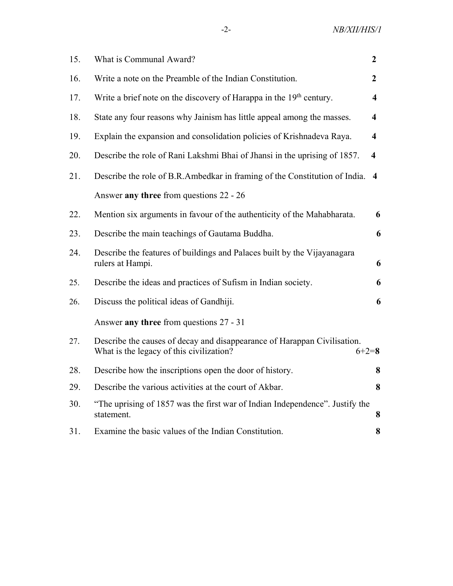| 15. | What is Communal Award?                                                                                                         | $\boldsymbol{2}$        |
|-----|---------------------------------------------------------------------------------------------------------------------------------|-------------------------|
| 16. | Write a note on the Preamble of the Indian Constitution.                                                                        | $\overline{2}$          |
| 17. | Write a brief note on the discovery of Harappa in the 19 <sup>th</sup> century.                                                 | $\overline{\mathbf{4}}$ |
| 18. | State any four reasons why Jainism has little appeal among the masses.                                                          | $\overline{\mathbf{4}}$ |
| 19. | Explain the expansion and consolidation policies of Krishnadeva Raya.                                                           | $\overline{\mathbf{4}}$ |
| 20. | Describe the role of Rani Lakshmi Bhai of Jhansi in the uprising of 1857.                                                       | $\overline{\mathbf{4}}$ |
| 21. | Describe the role of B.R.Ambedkar in framing of the Constitution of India.                                                      | 4                       |
|     | Answer any three from questions 22 - 26                                                                                         |                         |
| 22. | Mention six arguments in favour of the authenticity of the Mahabharata.                                                         | 6                       |
| 23. | Describe the main teachings of Gautama Buddha.                                                                                  | 6                       |
| 24. | Describe the features of buildings and Palaces built by the Vijayanagara<br>rulers at Hampi.                                    | 6                       |
| 25. | Describe the ideas and practices of Sufism in Indian society.                                                                   | 6                       |
| 26. | Discuss the political ideas of Gandhiji.                                                                                        | 6                       |
|     | Answer any three from questions 27 - 31                                                                                         |                         |
| 27. | Describe the causes of decay and disappearance of Harappan Civilisation.<br>What is the legacy of this civilization?<br>$6+2=8$ |                         |
| 28. | Describe how the inscriptions open the door of history.                                                                         | 8                       |
| 29. | Describe the various activities at the court of Akbar.                                                                          | 8                       |
| 30. | "The uprising of 1857 was the first war of Indian Independence". Justify the<br>statement.                                      | 8                       |
| 31. | Examine the basic values of the Indian Constitution.                                                                            | 8                       |